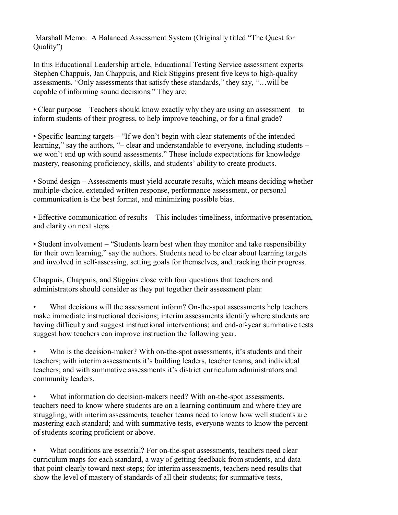Marshall Memo: A Balanced Assessment System (Originally titled "The Quest for Quality")

In this Educational Leadership article, Educational Testing Service assessment experts Stephen Chappuis, Jan Chappuis, and Rick Stiggins present five keys to high-quality assessments. "Only assessments that satisfy these standards," they say, "…will be capable of informing sound decisions." They are:

• Clear purpose – Teachers should know exactly why they are using an assessment – to inform students of their progress, to help improve teaching, or for a final grade?

• Specific learning targets – "If we don't begin with clear statements of the intended learning," say the authors, "– clear and understandable to everyone, including students – we won't end up with sound assessments." These include expectations for knowledge mastery, reasoning proficiency, skills, and students' ability to create products.

• Sound design – Assessments must yield accurate results, which means deciding whether multiple-choice, extended written response, performance assessment, or personal communication is the best format, and minimizing possible bias.

• Effective communication of results – This includes timeliness, informative presentation, and clarity on next steps.

• Student involvement – "Students learn best when they monitor and take responsibility for their own learning," say the authors. Students need to be clear about learning targets and involved in self-assessing, setting goals for themselves, and tracking their progress.

Chappuis, Chappuis, and Stiggins close with four questions that teachers and administrators should consider as they put together their assessment plan:

• What decisions will the assessment inform? On-the-spot assessments help teachers make immediate instructional decisions; interim assessments identify where students are having difficulty and suggest instructional interventions; and end-of-year summative tests suggest how teachers can improve instruction the following year.

Who is the decision-maker? With on-the-spot assessments, it's students and their teachers; with interim assessments it's building leaders, teacher teams, and individual teachers; and with summative assessments it's district curriculum administrators and community leaders.

• What information do decision-makers need? With on-the-spot assessments, teachers need to know where students are on a learning continuum and where they are struggling; with interim assessments, teacher teams need to know how well students are mastering each standard; and with summative tests, everyone wants to know the percent of students scoring proficient or above.

What conditions are essential? For on-the-spot assessments, teachers need clear curriculum maps for each standard, a way of getting feedback from students, and data that point clearly toward next steps; for interim assessments, teachers need results that show the level of mastery of standards of all their students; for summative tests,